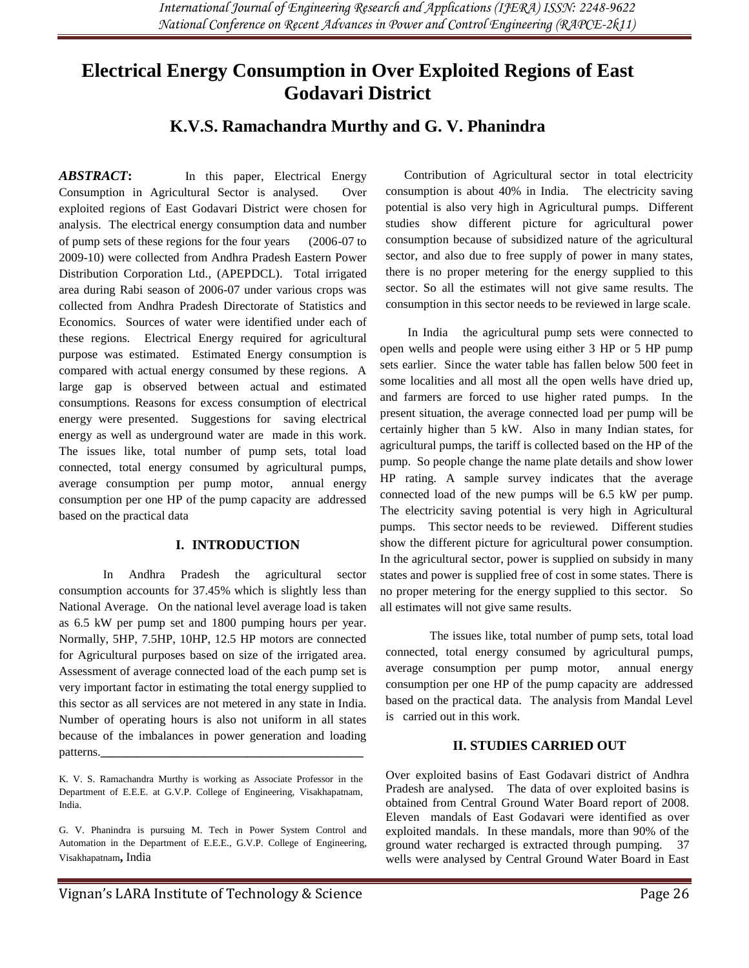# **Electrical Energy Consumption in Over Exploited Regions of East Godavari District**

## **K.V.S. Ramachandra Murthy and G. V. Phanindra**

*ABSTRACT***:** In this paper, Electrical Energy Consumption in Agricultural Sector is analysed. Over exploited regions of East Godavari District were chosen for analysis. The electrical energy consumption data and number of pump sets of these regions for the four years (2006-07 to 2009-10) were collected from Andhra Pradesh Eastern Power Distribution Corporation Ltd., (APEPDCL). Total irrigated area during Rabi season of 2006-07 under various crops was collected from Andhra Pradesh Directorate of Statistics and Economics. Sources of water were identified under each of these regions. Electrical Energy required for agricultural purpose was estimated. Estimated Energy consumption is compared with actual energy consumed by these regions. A large gap is observed between actual and estimated consumptions. Reasons for excess consumption of electrical energy were presented. Suggestions for saving electrical energy as well as underground water are made in this work. The issues like, total number of pump sets, total load connected, total energy consumed by agricultural pumps, average consumption per pump motor, annual energy consumption per one HP of the pump capacity are addressed based on the practical data

#### **I. INTRODUCTION**

In Andhra Pradesh the agricultural sector consumption accounts for 37.45% which is slightly less than National Average. On the national level average load is taken as 6.5 kW per pump set and 1800 pumping hours per year. Normally, 5HP, 7.5HP, 10HP, 12.5 HP motors are connected for Agricultural purposes based on size of the irrigated area. Assessment of average connected load of the each pump set is very important factor in estimating the total energy supplied to this sector as all services are not metered in any state in India. Number of operating hours is also not uniform in all states because of the imbalances in power generation and loading patterns.**\_\_\_\_\_\_\_\_\_\_\_\_\_\_\_\_\_\_\_\_\_\_\_\_\_\_\_\_\_\_\_\_\_\_\_\_\_\_\_\_\_\_\_**

K. V. S. Ramachandra Murthy is working as Associate Professor in the Department of E.E.E. at G.V.P. College of Engineering, Visakhapatnam, India.

G. V. Phanindra is pursuing M. Tech in Power System Control and Automation in the Department of E.E.E., G.V.P. College of Engineering, Visakhapatnam**,** India

 Contribution of Agricultural sector in total electricity consumption is about 40% in India. The electricity saving potential is also very high in Agricultural pumps. Different studies show different picture for agricultural power consumption because of subsidized nature of the agricultural sector, and also due to free supply of power in many states, there is no proper metering for the energy supplied to this sector. So all the estimates will not give same results. The consumption in this sector needs to be reviewed in large scale.

 In India the agricultural pump sets were connected to open wells and people were using either 3 HP or 5 HP pump sets earlier. Since the water table has fallen below 500 feet in some localities and all most all the open wells have dried up, and farmers are forced to use higher rated pumps. In the present situation, the average connected load per pump will be certainly higher than 5 kW. Also in many Indian states, for agricultural pumps, the tariff is collected based on the HP of the pump. So people change the name plate details and show lower HP rating. A sample survey indicates that the average connected load of the new pumps will be 6.5 kW per pump. The electricity saving potential is very high in Agricultural pumps. This sector needs to be reviewed. Different studies show the different picture for agricultural power consumption. In the agricultural sector, power is supplied on subsidy in many states and power is supplied free of cost in some states. There is no proper metering for the energy supplied to this sector. So all estimates will not give same results.

The issues like, total number of pump sets, total load connected, total energy consumed by agricultural pumps, average consumption per pump motor, annual energy consumption per one HP of the pump capacity are addressed based on the practical data. The analysis from Mandal Level is carried out in this work.

#### **II. STUDIES CARRIED OUT**

Over exploited basins of East Godavari district of Andhra Pradesh are analysed. The data of over exploited basins is obtained from Central Ground Water Board report of 2008. Eleven mandals of East Godavari were identified as over exploited mandals. In these mandals, more than 90% of the ground water recharged is extracted through pumping. 37 wells were analysed by Central Ground Water Board in East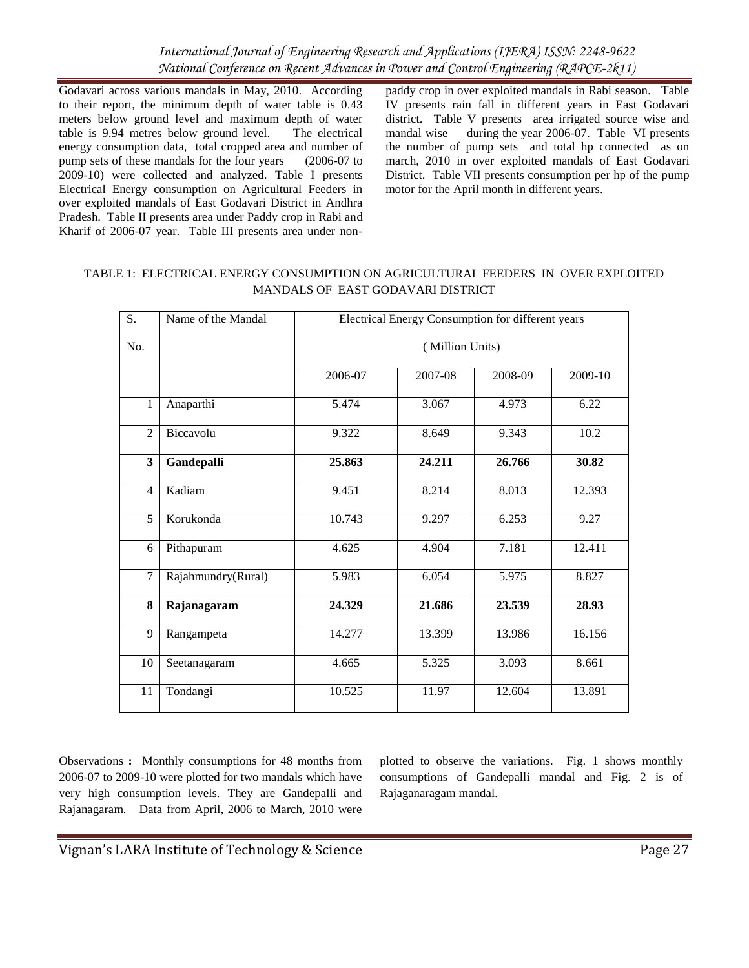Godavari across various mandals in May, 2010. According to their report, the minimum depth of water table is 0.43 meters below ground level and maximum depth of water table is 9.94 metres below ground level. The electrical energy consumption data, total cropped area and number of pump sets of these mandals for the four years (2006-07 to 2009-10) were collected and analyzed. Table I presents Electrical Energy consumption on Agricultural Feeders in over exploited mandals of East Godavari District in Andhra Pradesh. Table II presents area under Paddy crop in Rabi and Kharif of 2006-07 year. Table III presents area under nonpaddy crop in over exploited mandals in Rabi season. Table IV presents rain fall in different years in East Godavari district. Table V presents area irrigated source wise and mandal wise during the year 2006-07. Table VI presents the number of pump sets and total hp connected as on march, 2010 in over exploited mandals of East Godavari District. Table VII presents consumption per hp of the pump motor for the April month in different years.

#### TABLE 1: ELECTRICAL ENERGY CONSUMPTION ON AGRICULTURAL FEEDERS IN OVER EXPLOITED MANDALS OF EAST GODAVARI DISTRICT

| S.             | Name of the Mandal |         | Electrical Energy Consumption for different years |         |         |  |  |  |
|----------------|--------------------|---------|---------------------------------------------------|---------|---------|--|--|--|
| No.            |                    |         | (Million Units)                                   |         |         |  |  |  |
|                |                    | 2006-07 | 2007-08                                           | 2008-09 | 2009-10 |  |  |  |
| 1              | Anaparthi          | 5.474   | 3.067                                             | 4.973   | 6.22    |  |  |  |
| 2              | Biccavolu          | 9.322   | 8.649                                             | 9.343   | 10.2    |  |  |  |
| 3              | Gandepalli         | 25.863  | 24.211                                            | 26.766  | 30.82   |  |  |  |
| $\overline{4}$ | Kadiam             | 9.451   | 8.214                                             | 8.013   | 12.393  |  |  |  |
| 5              | Korukonda          | 10.743  | 9.297                                             | 6.253   | 9.27    |  |  |  |
| 6              | Pithapuram         | 4.625   | 4.904                                             | 7.181   | 12.411  |  |  |  |
| $\tau$         | Rajahmundry(Rural) | 5.983   | 6.054                                             | 5.975   | 8.827   |  |  |  |
| 8              | Rajanagaram        | 24.329  | 21.686                                            | 23.539  | 28.93   |  |  |  |
| 9              | Rangampeta         | 14.277  | 13.399                                            | 13.986  | 16.156  |  |  |  |
| 10             | Seetanagaram       | 4.665   | 5.325                                             | 3.093   | 8.661   |  |  |  |
| 11             | Tondangi           | 10.525  | 11.97                                             | 12.604  | 13.891  |  |  |  |

Observations **:** Monthly consumptions for 48 months from 2006-07 to 2009-10 were plotted for two mandals which have very high consumption levels. They are Gandepalli and Rajanagaram. Data from April, 2006 to March, 2010 were

plotted to observe the variations. Fig. 1 shows monthly consumptions of Gandepalli mandal and Fig. 2 is of Rajaganaragam mandal.

Vignan's LARA Institute of Technology & Science **Page 27** Page 27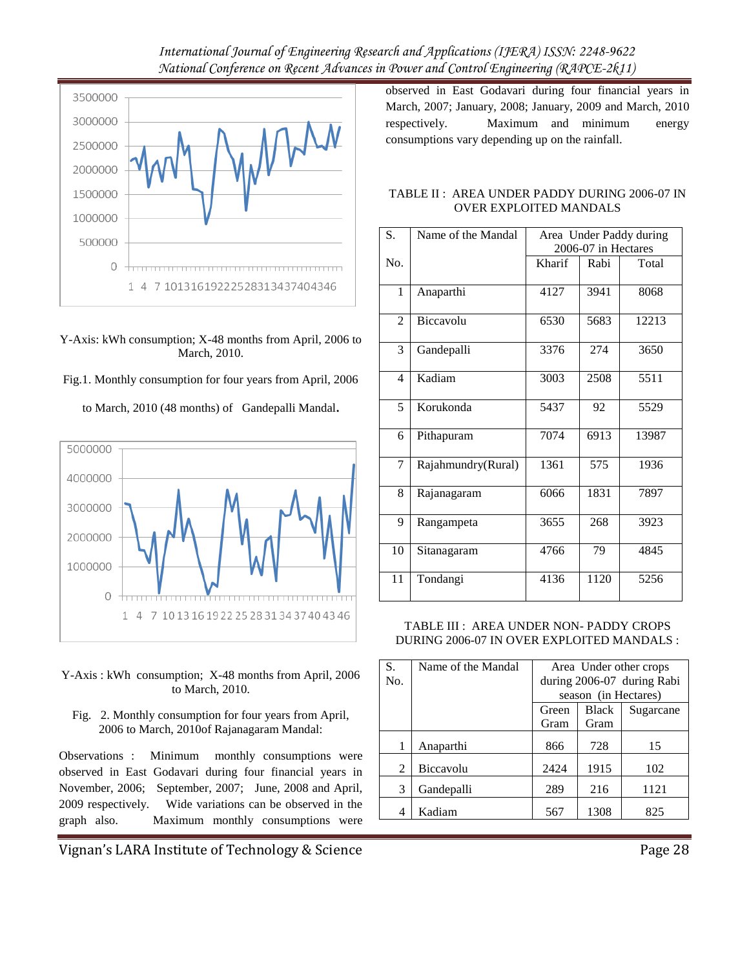

Y-Axis: kWh consumption; X-48 months from April, 2006 to March, 2010.

Fig.1. Monthly consumption for four years from April, 2006



to March, 2010 (48 months) of Gandepalli Mandal**.**

- Y-Axis : kWh consumption; X-48 months from April, 2006 to March, 2010.
	- Fig. 2. Monthly consumption for four years from April, 2006 to March, 2010of Rajanagaram Mandal:

Observations :Minimum monthly consumptions were observed in East Godavari during four financial years in November, 2006; September, 2007; June, 2008 and April, 2009 respectively. Wide variations can be observed in the graph also. Maximum monthly consumptions were

Vignan's LARA Institute of Technology & Science **Page 28** Page 28

observed in East Godavari during four financial years in March, 2007; January, 2008; January, 2009 and March, 2010 respectively. Maximum and minimum energy consumptions vary depending up on the rainfall.

#### TABLE II : AREA UNDER PADDY DURING 2006-07 IN OVER EXPLOITED MANDALS

| S.             | Name of the Mandal | Area Under Paddy during |      |       |  |  |
|----------------|--------------------|-------------------------|------|-------|--|--|
|                |                    | 2006-07 in Hectares     |      |       |  |  |
| No.            |                    | Kharif                  | Rabi | Total |  |  |
| $\mathbf{1}$   | Anaparthi          | 4127                    | 3941 | 8068  |  |  |
| $\overline{2}$ | Biccavolu          | 6530                    | 5683 | 12213 |  |  |
| 3              | Gandepalli         | 3376                    | 274  | 3650  |  |  |
| $\overline{4}$ | Kadiam             | 3003                    | 2508 | 5511  |  |  |
| 5              | Korukonda          | 5437                    | 92   | 5529  |  |  |
| 6              | Pithapuram         | 7074                    | 6913 | 13987 |  |  |
| $\overline{7}$ | Rajahmundry(Rural) | 1361                    | 575  | 1936  |  |  |
| 8              | Rajanagaram        | 6066                    | 1831 | 7897  |  |  |
| 9              | Rangampeta         | 3655                    | 268  | 3923  |  |  |
| 10             | Sitanagaram        | 4766                    | 79   | 4845  |  |  |
| 11             | Tondangi           | 4136                    | 1120 | 5256  |  |  |

TABLE III : AREA UNDER NON- PADDY CROPS DURING 2006-07 IN OVER EXPLOITED MANDALS :

| S.  | Name of the Mandal | Area Under other crops |                      |                            |  |
|-----|--------------------|------------------------|----------------------|----------------------------|--|
| No. |                    |                        |                      | during 2006-07 during Rabi |  |
|     |                    |                        | season (in Hectares) |                            |  |
|     |                    | Green                  | <b>Black</b>         | Sugarcane                  |  |
|     |                    | Gram                   | Gram                 |                            |  |
|     | Anaparthi          | 866                    | 728                  | 15                         |  |
| 2   | Biccavolu          | 2424                   | 1915                 | 102                        |  |
| 3   | Gandepalli         | 289                    | 216                  | 1121                       |  |
| 4   | Kadiam             | 567                    | 1308                 | 825                        |  |
|     |                    |                        |                      |                            |  |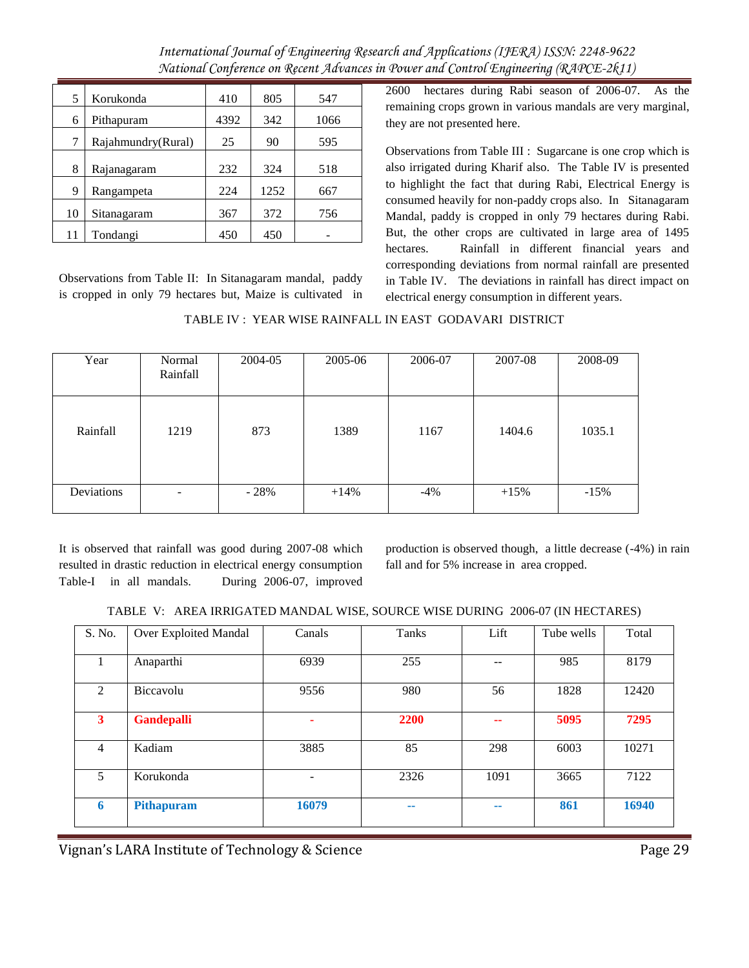| 5  | Korukonda          | 410  | 805  | 547  |
|----|--------------------|------|------|------|
| 6  | Pithapuram         | 4392 | 342  | 1066 |
| 7  | Rajahmundry(Rural) | 25   | 90   | 595  |
| 8  | Rajanagaram        | 232  | 324  | 518  |
| 9  | Rangampeta         | 224  | 1252 | 667  |
| 10 | Sitanagaram        | 367  | 372  | 756  |
| 11 | Tondangi           | 450  | 450  |      |

Observations from Table II: In Sitanagaram mandal, paddy is cropped in only 79 hectares but, Maize is cultivated in 2600 hectares during Rabi season of 2006-07. As the remaining crops grown in various mandals are very marginal, they are not presented here.

Observations from Table III : Sugarcane is one crop which is also irrigated during Kharif also. The Table IV is presented to highlight the fact that during Rabi, Electrical Energy is consumed heavily for non-paddy crops also. In Sitanagaram Mandal, paddy is cropped in only 79 hectares during Rabi. But, the other crops are cultivated in large area of 1495 hectares. Rainfall in different financial years and corresponding deviations from normal rainfall are presented in Table IV. The deviations in rainfall has direct impact on electrical energy consumption in different years.

TABLE IV : YEAR WISE RAINFALL IN EAST GODAVARI DISTRICT

| Year       | Normal<br>Rainfall | 2004-05 | 2005-06 | 2006-07 | 2007-08 | 2008-09 |
|------------|--------------------|---------|---------|---------|---------|---------|
| Rainfall   | 1219               | 873     | 1389    | 1167    | 1404.6  | 1035.1  |
| Deviations | -                  | $-28%$  | $+14%$  | $-4\%$  | $+15%$  | $-15%$  |

It is observed that rainfall was good during 2007-08 which resulted in drastic reduction in electrical energy consumption Table-I in all mandals. During 2006-07, improved production is observed though, a little decrease (-4%) in rain fall and for 5% increase in area cropped.

|  | TABLE V: AREA IRRIGATED MANDAL WISE, SOURCE WISE DURING 2006-07 (IN HECTARES) |  |
|--|-------------------------------------------------------------------------------|--|
|  |                                                                               |  |

| S. No.         | Over Exploited Mandal | Canals | Tanks | Lift | Tube wells | Total |
|----------------|-----------------------|--------|-------|------|------------|-------|
|                | Anaparthi             | 6939   | 255   |      | 985        | 8179  |
| $\mathfrak{D}$ | Biccavolu             | 9556   | 980   | 56   | 1828       | 12420 |
| 3              | <b>Gandepalli</b>     |        | 2200  | --   | 5095       | 7295  |
| 4              | Kadiam                | 3885   | 85    | 298  | 6003       | 10271 |
| 5              | Korukonda             |        | 2326  | 1091 | 3665       | 7122  |
| 6              | Pithapuram            | 16079  | --    | --   | 861        | 16940 |

Vignan's LARA Institute of Technology & Science **Page 29** Page 29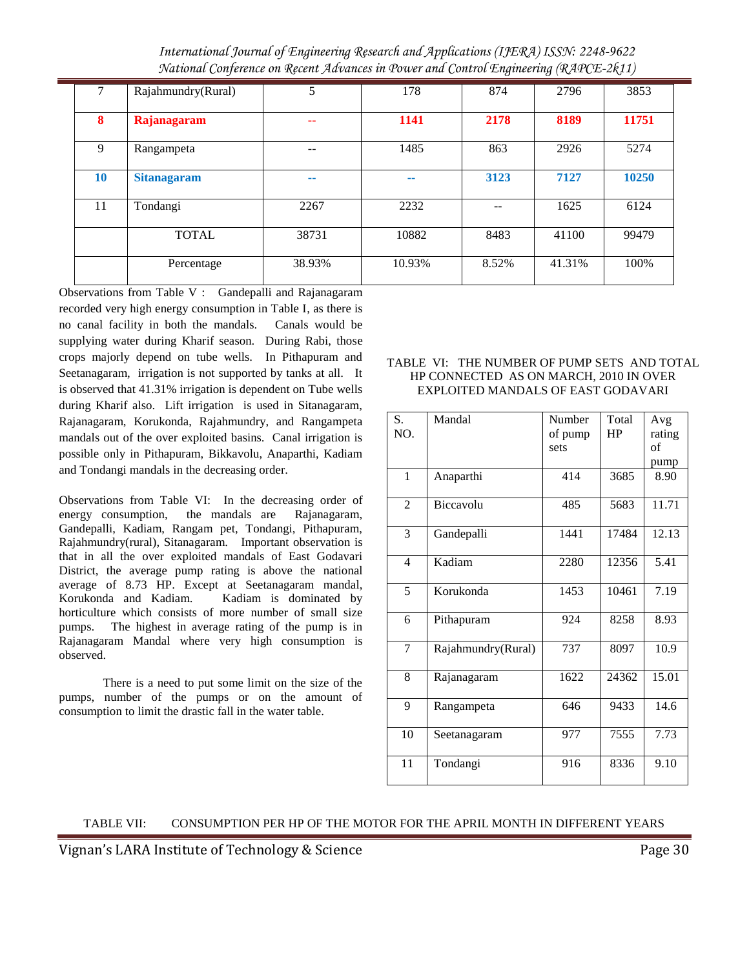*International Journal of Engineering Research and Applications (IJERA) ISSN: 2248-9622 National Conference on Recent Advances in Power and Control Engineering (RAPCE-2k11)*

|    | Rajahmundry(Rural) | 5      | 178    | 874   | 2796   | 3853  |
|----|--------------------|--------|--------|-------|--------|-------|
| 8  | Rajanagaram        | --     | 1141   | 2178  | 8189   | 11751 |
| 9  | Rangampeta         |        | 1485   | 863   | 2926   | 5274  |
| 10 | <b>Sitanagaram</b> | --     | --     | 3123  | 7127   | 10250 |
| 11 | Tondangi           | 2267   | 2232   | --    | 1625   | 6124  |
|    | <b>TOTAL</b>       | 38731  | 10882  | 8483  | 41100  | 99479 |
|    | Percentage         | 38.93% | 10.93% | 8.52% | 41.31% | 100%  |

Observations from Table V : Gandepalli and Rajanagaram recorded very high energy consumption in Table I, as there is no canal facility in both the mandals. Canals would be supplying water during Kharif season. During Rabi, those crops majorly depend on tube wells. In Pithapuram and Seetanagaram, irrigation is not supported by tanks at all. It is observed that 41.31% irrigation is dependent on Tube wells during Kharif also. Lift irrigation is used in Sitanagaram, Rajanagaram, Korukonda, Rajahmundry, and Rangampeta mandals out of the over exploited basins. Canal irrigation is possible only in Pithapuram, Bikkavolu, Anaparthi, Kadiam and Tondangi mandals in the decreasing order.

Observations from Table VI: In the decreasing order of energy consumption, the mandals are Rajanagaram, Gandepalli, Kadiam, Rangam pet, Tondangi, Pithapuram, Rajahmundry(rural), Sitanagaram. Important observation is that in all the over exploited mandals of East Godavari District, the average pump rating is above the national average of 8.73 HP. Except at Seetanagaram mandal, Korukonda and Kadiam. Kadiam is dominated by horticulture which consists of more number of small size pumps. The highest in average rating of the pump is in Rajanagaram Mandal where very high consumption is observed.

There is a need to put some limit on the size of the pumps, number of the pumps or on the amount of consumption to limit the drastic fall in the water table.

#### TABLE VI: THE NUMBER OF PUMP SETS AND TOTAL HP CONNECTED AS ON MARCH, 2010 IN OVER EXPLOITED MANDALS OF EAST GODAVARI

| S.<br>NO.      | Mandal             | Number<br>of pump<br>sets | Total<br>HP | Avg<br>rating<br>of |
|----------------|--------------------|---------------------------|-------------|---------------------|
| $\mathbf{1}$   | Anaparthi          | 414                       | 3685        | pump<br>8.90        |
| $\overline{2}$ | Biccavolu          | 485                       | 5683        | 11.71               |
| 3              | Gandepalli         | 1441                      | 17484       | 12.13               |
| $\overline{4}$ | Kadiam             | 2280                      | 12356       | 5.41                |
| 5              | Korukonda          | 1453                      | 10461       | 7.19                |
| 6              | Pithapuram         | 924                       | 8258        | 8.93                |
| 7              | Rajahmundry(Rural) | 737                       | 8097        | 10.9                |
| 8              | Rajanagaram        | 1622                      | 24362       | 15.01               |
| 9              | Rangampeta         | 646                       | 9433        | 14.6                |
| 10             | Seetanagaram       | 977                       | 7555        | 7.73                |
| 11             | Tondangi           | 916                       | 8336        | 9.10                |

#### TABLE VII: CONSUMPTION PER HP OF THE MOTOR FOR THE APRIL MONTH IN DIFFERENT YEARS

Vignan's LARA Institute of Technology & Science **Page 30** Page 30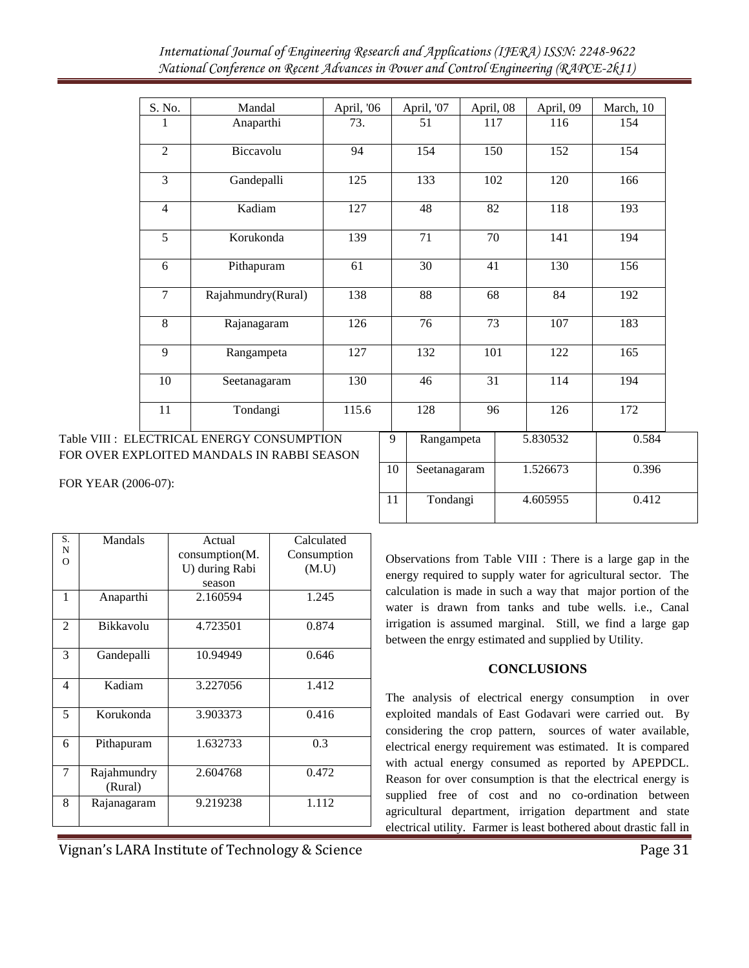|                     | S. No.         | Mandal                                                                                   | April, '06      |        | April, '07      | April, 08       | April, 09       | March, 10 |
|---------------------|----------------|------------------------------------------------------------------------------------------|-----------------|--------|-----------------|-----------------|-----------------|-----------|
|                     | 1              | Anaparthi                                                                                | 73.             |        | 51              | 117             | 116             | 154       |
|                     | $\overline{2}$ | Biccavolu                                                                                | 94              |        | 154             | 150             | 152             | 154       |
|                     | 3              | Gandepalli                                                                               | 125             |        | 133             | 102             | 120             | 166       |
|                     | $\overline{4}$ | Kadiam                                                                                   | 127             |        | 48              | 82              | 118             | 193       |
|                     | 5              | Korukonda                                                                                | 139             |        | 71              | 70              | 141             | 194       |
|                     | 6              | Pithapuram                                                                               | $\overline{61}$ |        | $\overline{30}$ | $\overline{41}$ | 130             | 156       |
|                     | $\overline{7}$ | Rajahmundry(Rural)                                                                       | 138             |        | $\overline{88}$ | 68              | $\overline{84}$ | 192       |
|                     | 8              | Rajanagaram                                                                              | 126             |        | 76              | 73              | 107             | 183       |
|                     | 9              | Rangampeta                                                                               | 127             |        | 132             | 101             | 122             | 165       |
|                     | 10             | Seetanagaram                                                                             | 130             |        | 46              | 31              | 114             | 194       |
|                     | 11             | Tondangi                                                                                 | 115.6           |        | 128             | 96              | 126             | 172       |
|                     |                | Table VIII : ELECTRICAL ENERGY CONSUMPTION<br>FOR OVER EXPLOITED MANDALS IN RABBI SEASON |                 | 9      | Rangampeta      |                 | 5.830532        | 0.584     |
| FOR YEAR (2006-07): |                |                                                                                          |                 | $10\,$ | Seetanagaram    |                 | 1.526673        | 0.396     |
|                     |                |                                                                                          |                 | 11     | Tondangi        |                 | 4.605955        | 0.412     |

| S.            | Mandals                | Actual         | Calculated  |
|---------------|------------------------|----------------|-------------|
| N<br>$\Omega$ |                        | consumption(M. | Consumption |
|               |                        | U) during Rabi | (M.U)       |
|               |                        | season         |             |
| 1             | Anaparthi              | 2.160594       | 1.245       |
| 2             | Bikkavolu              | 4.723501       | 0.874       |
| 3             | Gandepalli             | 10.94949       | 0.646       |
| 4             | Kadiam                 | 3.227056       | 1.412       |
| 5             | Korukonda              | 3.903373       | 0.416       |
| 6             | Pithapuram             | 1.632733       | 0.3         |
| 7             | Rajahmundry<br>(Rural) | 2.604768       | 0.472       |
| 8             | Rajanagaram            | 9.219238       | 1.112       |

Observations from Table VIII : There is a large gap in the energy required to supply water for agricultural sector. The calculation is made in such a way that major portion of the water is drawn from tanks and tube wells. i.e., Canal irrigation is assumed marginal. Still, we find a large gap between the enrgy estimated and supplied by Utility.

#### **CONCLUSIONS**

The analysis of electrical energy consumption in over exploited mandals of East Godavari were carried out. By considering the crop pattern, sources of water available, electrical energy requirement was estimated. It is compared with actual energy consumed as reported by APEPDCL. Reason for over consumption is that the electrical energy is supplied free of cost and no co-ordination between agricultural department, irrigation department and state electrical utility. Farmer is least bothered about drastic fall in

Vignan's LARA Institute of Technology & Science **Page 31** Page 31